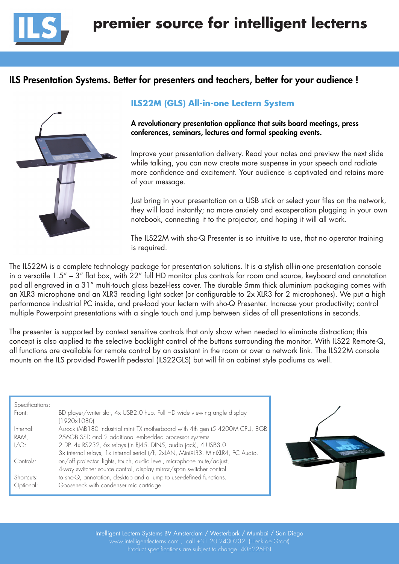

# ILS Presentation Systems. Better for presenters and teachers, better for your audience !



## **ILS22M (GLS) All-in-one Lectern System**

A revolutionary presentation appliance that suits board meetings, press conferences, seminars, lectures and formal speaking events.

Improve your presentation delivery. Read your notes and preview the next slide while talking, you can now create more suspense in your speech and radiate more confidence and excitement. Your audience is captivated and retains more of your message.

Just bring in your presentation on a USB stick or select your files on the network, they will load instantly; no more anxiety and exasperation plugging in your own notebook, connecting it to the projector, and hoping it will all work.

The ILS22M with sho-Q Presenter is so intuitive to use, that no operator training is required.

The ILS22M is a complete technology package for presentation solutions. It is a stylish all-in-one presentation console in a versatile 1.5" – 3" flat box, with 22" full HD monitor plus controls for room and source, keyboard and annotation pad all engraved in a 31" multi-touch glass bezel-less cover. The durable 5mm thick aluminium packaging comes with an XLR3 microphone and an XLR3 reading light socket (or configurable to 2x XLR3 for 2 microphones). We put a high performance industrial PC inside, and pre-load your lectern with sho-Q Presenter. Increase your productivity; control multiple Powerpoint presentations with a single touch and jump between slides of all presentations in seconds.

The presenter is supported by context sensitive controls that only show when needed to eliminate distraction; this concept is also applied to the selective backlight control of the buttons surrounding the monitor. With ILS22 Remote-Q, all functions are available for remote control by an assistant in the room or over a network link. The ILS22M console mounts on the ILS provided Powerlift pedestal (ILS22GLS) but will fit on cabinet style podiums as well.

| Specifications: |                                                                                          |
|-----------------|------------------------------------------------------------------------------------------|
| Front:          | BD player/writer slot, 4x USB2.0 hub. Full HD wide viewing angle display<br>(1920x1080). |
| Internet:       | Asrock iMB180 industrial mini-ITX motherboard with 4th gen i5 4200M CPU, 8GB             |
| RAM,            | 256GB SSD and 2 additional embedded processor systems.                                   |
| $1/O$ :         | 2 DP, 4x RS232, 6x relays (in RJ45, DIN5, audio jack), 4 USB3.0                          |
|                 | 3x internal relays, 1x internal serial i/f, 2xLAN, MiniXLR3, MiniXLR4, PC Audio.         |
| Controls:       | on/off projector, lights, touch, audio level, microphone mute/adjust,                    |
|                 | 4-way switcher source control, display mirror/span switcher control.                     |
| Shortcuts:      | to sho-Q, annotation, desktop and a jump to user-defined functions.                      |
| Optional:       | Gooseneck with condenser mic cartridge                                                   |